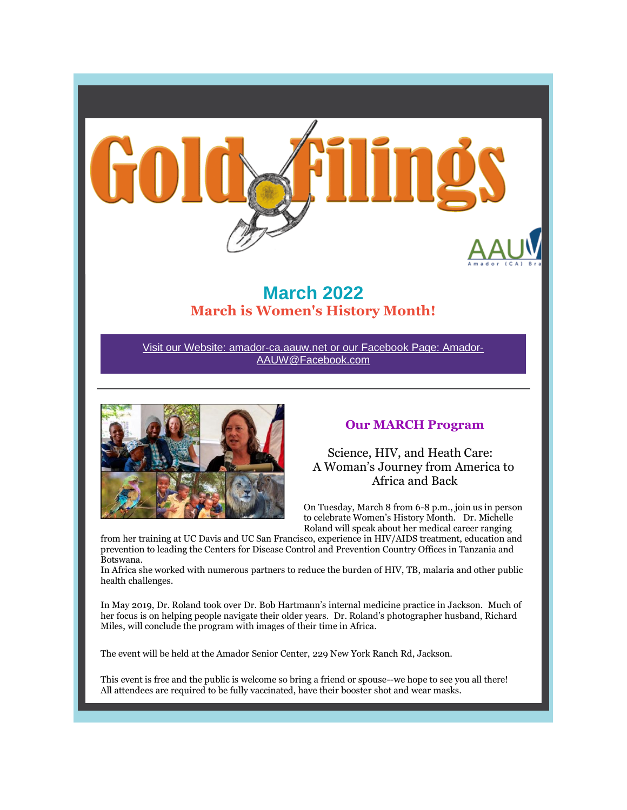

# **March 2022 March is Women's History Month!**

Visit our Website: amador-ca.aauw.net or our Facebook Page: Amador-AAUW@Facebook.com



## **Our MARCH Program**

Science, HIV, and Heath Care: A Woman's Journey from America to Africa and Back

On Tuesday, March 8 from 6-8 p.m., join us in person to celebrate Women's History Month. Dr. Michelle Roland will speak about her medical career ranging

from her training at UC Davis and UC San Francisco, experience in HIV/AIDS treatment, education and prevention to leading the Centers for Disease Control and Prevention Country Offices in Tanzania and Botswana.

In Africa she worked with numerous partners to reduce the burden of HIV, TB, malaria and other public health challenges.

In May 2019, Dr. Roland took over Dr. Bob Hartmann's internal medicine practice in Jackson. Much of her focus is on helping people navigate their older years. Dr. Roland's photographer husband, Richard Miles, will conclude the program with images of their time in Africa.

The event will be held at the Amador Senior Center, 229 New York Ranch Rd, Jackson.

This event is free and the public is welcome so bring a friend or spouse--we hope to see you all there! All attendees are required to be fully vaccinated, have their booster shot and wear masks.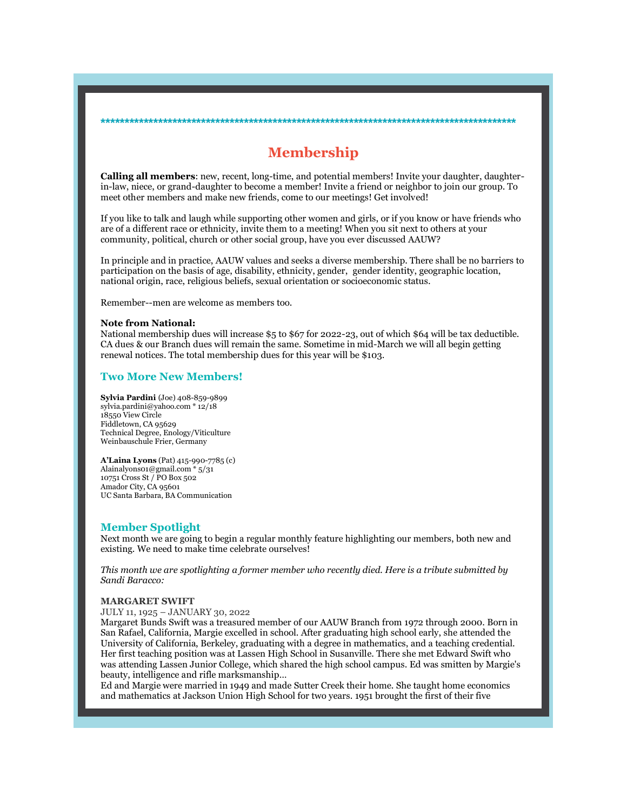## **Membership**

**\*\*\*\*\*\*\*\*\*\*\*\*\*\*\*\*\*\*\*\*\*\*\*\*\*\*\*\*\*\*\*\*\*\*\*\*\*\*\*\*\*\*\*\*\*\*\*\*\*\*\*\*\*\*\*\*\*\*\*\*\*\*\*\*\*\*\*\*\*\*\*\*\*\*\*\*\*\*\*\*\*\*\*\*\*\*\***

**Calling all members**: new, recent, long-time, and potential members! Invite your daughter, daughterin-law, niece, or grand-daughter to become a member! Invite a friend or neighbor to join our group. To meet other members and make new friends, come to our meetings! Get involved!

If you like to talk and laugh while supporting other women and girls, or if you know or have friends who are of a different race or ethnicity, invite them to a meeting! When you sit next to others at your community, political, church or other social group, have you ever discussed AAUW?

In principle and in practice, AAUW values and seeks a diverse membership. There shall be no barriers to participation on the basis of age, disability, ethnicity, gender, gender identity, geographic location, national origin, race, religious beliefs, sexual orientation or socioeconomic status.

Remember--men are welcome as members too.

#### **Note from National:**

National membership dues will increase \$5 to \$67 for 2022-23, out of which \$64 will be tax deductible. CA dues & our Branch dues will remain the same. Sometime in mid-March we will all begin getting renewal notices. The total membership dues for this year will be \$103.

## **Two More New Members!**

**Sylvia Pardini** (Joe) 408-859-9899 sylvia.pardini@yahoo.com \* 12/18 18550 View Circle Fiddletown, CA 95629 Technical Degree, Enology/Viticulture Weinbauschule Frier, Germany

**A'Laina Lyons** (Pat) 415-990-7785 (c) Alainalyons01@gmail.com \* 5/31 10751 Cross St / PO Box 502 Amador City, CA 95601 UC Santa Barbara, BA Communication

### **Member Spotlight**

Next month we are going to begin a regular monthly feature highlighting our members, both new and existing. We need to make time celebrate ourselves!

*This month we are spotlighting a former member who recently died. Here is a tribute submitted by Sandi Baracco:*

#### **MARGARET SWIFT**

JULY 11, 1925 – JANUARY 30, 2022

Margaret Bunds Swift was a treasured member of our AAUW Branch from 1972 through 2000. Born in San Rafael, California, Margie excelled in school. After graduating high school early, she attended the University of California, Berkeley, graduating with a degree in mathematics, and a teaching credential. Her first teaching position was at Lassen High School in Susanville. There she met Edward Swift who was attending Lassen Junior College, which shared the high school campus. Ed was smitten by Margie's beauty, intelligence and rifle marksmanship…

Ed and Margie were married in 1949 and made Sutter Creek their home. She taught home economics and mathematics at Jackson Union High School for two years. 1951 brought the first of their five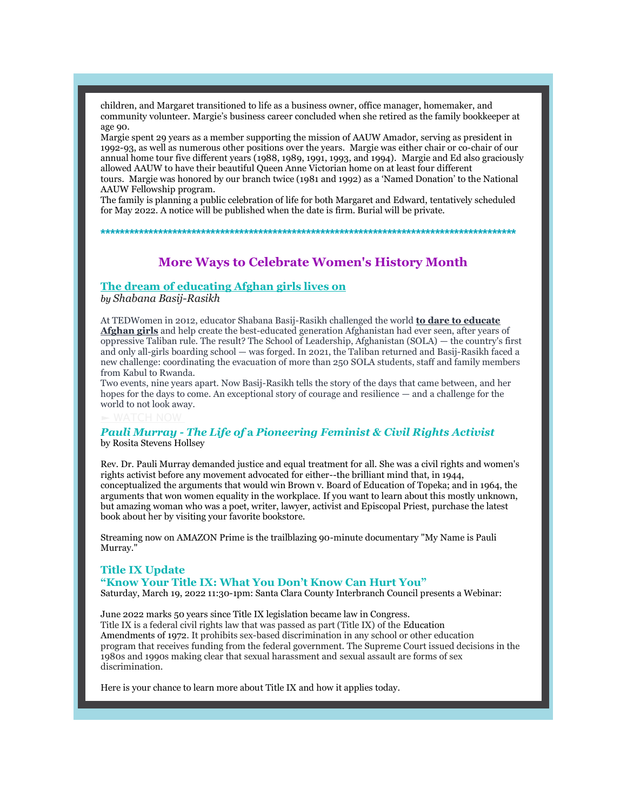children, and Margaret transitioned to life as a business owner, office manager, homemaker, and community volunteer. Margie's business career concluded when she retired as the family bookkeeper at  $99e$  00.

Margie spent 29 years as a member supporting the mission of AAUW Amador, serving as president in 1992-93, as well as numerous other positions over the years. Margie was either chair or co-chair of our annual home tour five different years (1988, 1989, 1991, 1993, and 1994). Margie and Ed also graciously allowed AAUW to have their beautiful Queen Anne Victorian home on at least four different tours. Margie was honored by our branch twice (1981 and 1992) as a 'Named Donation' to the National

AAUW Fellowship program. The family is planning a public celebration of life for both Margaret and Edward, tentatively scheduled

for May 2022. A notice will be published when the date is firm. Burial will be private.

**\*\*\*\*\*\*\*\*\*\*\*\*\*\*\*\*\*\*\*\*\*\*\*\*\*\*\*\*\*\*\*\*\*\*\*\*\*\*\*\*\*\*\*\*\*\*\*\*\*\*\*\*\*\*\*\*\*\*\*\*\*\*\*\*\*\*\*\*\*\*\*\*\*\*\*\*\*\*\*\*\*\*\*\*\*\*\***

# **More Ways to Celebrate Women's History Month**

## **The dream of educating Afghan girls lives on**

*by Shabana Basij-Rasikh*

At TEDWomen in 2012, educator Shabana Basij-Rasikh challenged the world **to dare to educate Afghan girls** and help create the best-educated generation Afghanistan had ever seen, after years of oppressive Taliban rule. The result? The School of Leadership, Afghanistan (SOLA) — the country's first and only all-girls boarding school — was forged. In 2021, the Taliban returned and Basij-Rasikh faced a new challenge: coordinating the evacuation of more than 250 SOLA students, staff and family members from Kabul to Rwanda.

Two events, nine years apart. Now Basij-Rasikh tells the story of the days that came between, and her hopes for the days to come. An exceptional story of courage and resilience — and a challenge for the world to not look away.

## *Pauli Murray - The Life of* **a** *Pioneering Feminist & Civil Rights Activist* by Rosita Stevens Hollsey

Rev. Dr. Pauli Murray demanded justice and equal treatment for all. She was a civil rights and women's rights activist before any movement advocated for either--the brilliant mind that, in 1944, conceptualized the arguments that would win Brown v. Board of Education of Topeka; and in 1964, the arguments that won women equality in the workplace. If you want to learn about this mostly unknown, but amazing woman who was a poet, writer, lawyer, activist and Episcopal Priest, purchase the latest book about her by visiting your favorite bookstore.

Streaming now on AMAZON Prime is the trailblazing 90-minute documentary "My Name is Pauli Murray."

## **Title IX Update "Know Your Title IX: What You Don't Know Can Hurt You"**

Saturday, March 19, 2022 11:30-1pm: Santa Clara County Interbranch Council presents a Webinar:

June 2022 marks 50 years since Title IX legislation became law in Congress. Title IX is a federal civil rights law that was passed as part (Title IX) of the Education Amendments of 1972. It prohibits sex-based discrimination in any school or other education program that receives funding from the federal government. The Supreme Court issued decisions in the 1980s and 1990s making clear that sexual harassment and sexual assault are forms of sex discrimination.

Here is your chance to learn more about Title IX and how it applies today.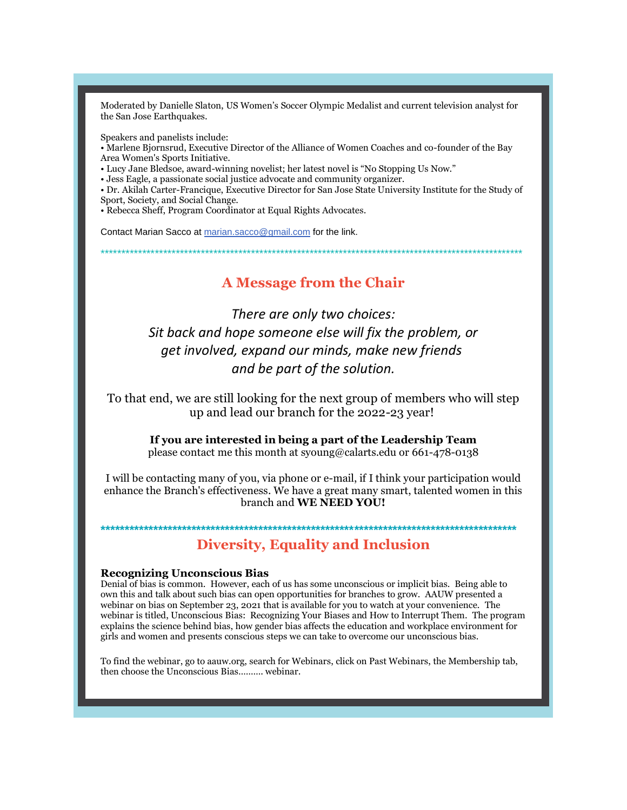Moderated by Danielle Slaton, US Women's Soccer Olympic Medalist and current television analyst for the San Jose Earthquakes.

Speakers and panelists include:

• Marlene Bjornsrud, Executive Director of the Alliance of Women Coaches and co-founder of the Bay Area Women's Sports Initiative.

• Lucy Jane Bledsoe, award-winning novelist; her latest novel is "No Stopping Us Now."

· Jess Eagle, a passionate social justice advocate and community organizer.

• Dr. Akilah Carter-Francique, Executive Director for San Jose State University Institute for the Study of Sport, Society, and Social Change.

• Rebecca Sheff, Program Coordinator at Equal Rights Advocates.

Contact Marian Sacco at marian.sacco@gmail.com for the link.

## **A Message from the Chair**

There are only two choices: Sit back and hope someone else will fix the problem, or get involved, expand our minds, make new friends and be part of the solution.

To that end, we are still looking for the next group of members who will step up and lead our branch for the 2022-23 year!

If you are interested in being a part of the Leadership Team please contact me this month at syoung@calarts.edu or 661-478-0138

I will be contacting many of you, via phone or e-mail, if I think your participation would enhance the Branch's effectiveness. We have a great many smart, talented women in this branch and WE NEED YOU!

## **Diversity, Equality and Inclusion**

## **Recognizing Unconscious Bias**

Denial of bias is common. However, each of us has some unconscious or implicit bias. Being able to own this and talk about such bias can open opportunities for branches to grow. AAUW presented a webinar on bias on September 23, 2021 that is available for you to watch at your convenience. The webinar is titled, Unconscious Bias: Recognizing Your Biases and How to Interrupt Them. The program explains the science behind bias, how gender bias affects the education and workplace environment for girls and women and presents conscious steps we can take to overcome our unconscious bias.

To find the webinar, go to a auw org, search for Webinars, click on Past Webinars, the Membership tab, then choose the Unconscious Bias.......... webinar.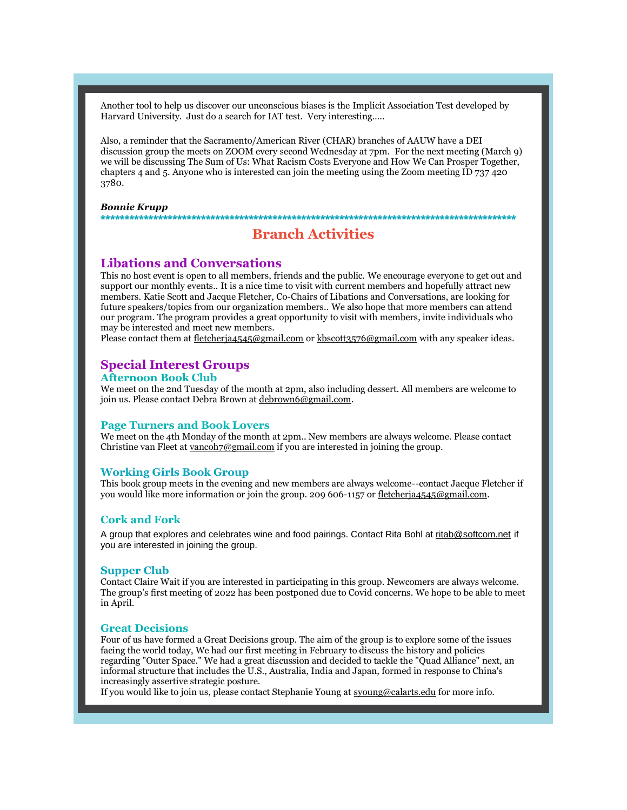Another tool to help us discover our unconscious biases is the Implicit Association Test developed by Harvard University. Just do a search for IAT test. Very interesting…..

Also, a reminder that the Sacramento/American River (CHAR) branches of AAUW have a DEI discussion group the meets on ZOOM every second Wednesday at 7pm. For the next meeting (March 9) we will be discussing The Sum of Us: What Racism Costs Everyone and How We Can Prosper Together, chapters 4 and 5. Anyone who is interested can join the meeting using the Zoom meeting ID 737 420 3780.

#### *Bonnie Krupp* **\*\*\*\*\*\*\*\*\*\*\*\*\*\*\*\*\*\*\*\*\*\*\*\*\*\*\*\*\*\*\*\*\*\*\*\*\*\*\*\*\*\*\*\*\*\*\*\*\*\*\*\*\*\*\*\*\*\*\*\*\*\*\*\*\*\*\*\*\*\*\*\*\*\*\*\*\*\*\*\*\*\*\*\*\*\*\***

## **Branch Activities**

## **Libations and Conversations**

This no host event is open to all members, friends and the public. We encourage everyone to get out and support our monthly events.. It is a nice time to visit with current members and hopefully attract new members. Katie Scott and Jacque Fletcher, Co-Chairs of Libations and Conversations, are looking for future speakers/topics from our organization members.. We also hope that more members can attend our program. The program provides a great opportunity to visit with members, invite individuals who may be interested and meet new members.

Please contact them at fletcherja4545@gmail.com or kbscott3576@gmail.com with any speaker ideas.

# **Special Interest Groups**

## **Afternoon Book Club**

We meet on the 2nd Tuesday of the month at 2pm, also including dessert. All members are welcome to join us. Please contact Debra Brown at debrown6@gmail.com.

### **Page Turners and Book Lovers**

We meet on the 4th Monday of the month at 2pm.. New members are always welcome. Please contact Christine van Fleet at vancoh7@gmail.com if you are interested in joining the group.

### **Working Girls Book Group**

This book group meets in the evening and new members are always welcome--contact Jacque Fletcher if you would like more information or join the group. 209 606-1157 or fletcherja4545@gmail.com.

### **Cork and Fork**

A group that explores and celebrates wine and food pairings. Contact Rita Bohl at ritab@softcom.net if you are interested in joining the group.

### **Supper Club**

Contact Claire Wait if you are interested in participating in this group. Newcomers are always welcome. The group's first meeting of 2022 has been postponed due to Covid concerns. We hope to be able to meet in April.

#### **Great Decisions**

Four of us have formed a Great Decisions group. The aim of the group is to explore some of the issues facing the world today, We had our first meeting in February to discuss the history and policies regarding "Outer Space." We had a great discussion and decided to tackle the "Quad Alliance" next, an informal structure that includes the U.S., Australia, India and Japan, formed in response to China's increasingly assertive strategic posture.

If you would like to join us, please contact Stephanie Young at syoung@calarts.edu for more info.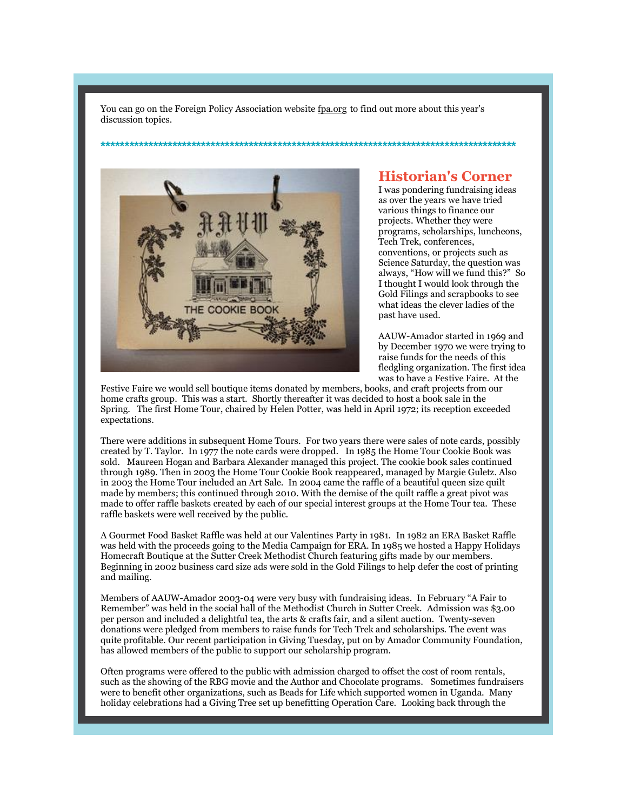You can go on the Foreign Policy Association website fpa.org to find out more about this year's discussion topics.

**\*\*\*\*\*\*\*\*\*\*\*\*\*\*\*\*\*\*\*\*\*\*\*\*\*\*\*\*\*\*\*\*\*\*\*\*\*\*\*\*\*\*\*\*\*\*\*\*\*\*\*\*\*\*\*\*\*\*\*\*\*\*\*\*\*\*\*\*\*\*\*\*\*\*\*\*\*\*\*\*\*\*\*\*\*\*\***



## **Historian's Corner**

I was pondering fundraising ideas as over the years we have tried various things to finance our projects. Whether they were programs, scholarships, luncheons, Tech Trek, conferences, conventions, or projects such as Science Saturday, the question was always, "How will we fund this?" So I thought I would look through the Gold Filings and scrapbooks to see what ideas the clever ladies of the past have used.

AAUW-Amador started in 1969 and by December 1970 we were trying to raise funds for the needs of this fledgling organization. The first idea was to have a Festive Faire. At the

Festive Faire we would sell boutique items donated by members, books, and craft projects from our home crafts group. This was a start. Shortly thereafter it was decided to host a book sale in the Spring. The first Home Tour, chaired by Helen Potter, was held in April 1972; its reception exceeded expectations.

There were additions in subsequent Home Tours. For two years there were sales of note cards, possibly created by T. Taylor. In 1977 the note cards were dropped. In 1985 the Home Tour Cookie Book was sold. Maureen Hogan and Barbara Alexander managed this project. The cookie book sales continued through 1989. Then in 2003 the Home Tour Cookie Book reappeared, managed by Margie Guletz. Also in 2003 the Home Tour included an Art Sale. In 2004 came the raffle of a beautiful queen size quilt made by members; this continued through 2010. With the demise of the quilt raffle a great pivot was made to offer raffle baskets created by each of our special interest groups at the Home Tour tea. These raffle baskets were well received by the public.

A Gourmet Food Basket Raffle was held at our Valentines Party in 1981. In 1982 an ERA Basket Raffle was held with the proceeds going to the Media Campaign for ERA. In 1985 we hosted a Happy Holidays Homecraft Boutique at the Sutter Creek Methodist Church featuring gifts made by our members. Beginning in 2002 business card size ads were sold in the Gold Filings to help defer the cost of printing and mailing.

Members of AAUW-Amador 2003-04 were very busy with fundraising ideas. In February "A Fair to Remember" was held in the social hall of the Methodist Church in Sutter Creek. Admission was \$3.00 per person and included a delightful tea, the arts & crafts fair, and a silent auction. Twenty-seven donations were pledged from members to raise funds for Tech Trek and scholarships. The event was quite profitable. Our recent participation in Giving Tuesday, put on by Amador Community Foundation, has allowed members of the public to support our scholarship program.

Often programs were offered to the public with admission charged to offset the cost of room rentals, such as the showing of the RBG movie and the Author and Chocolate programs. Sometimes fundraisers were to benefit other organizations, such as Beads for Life which supported women in Uganda. Many holiday celebrations had a Giving Tree set up benefitting Operation Care. Looking back through the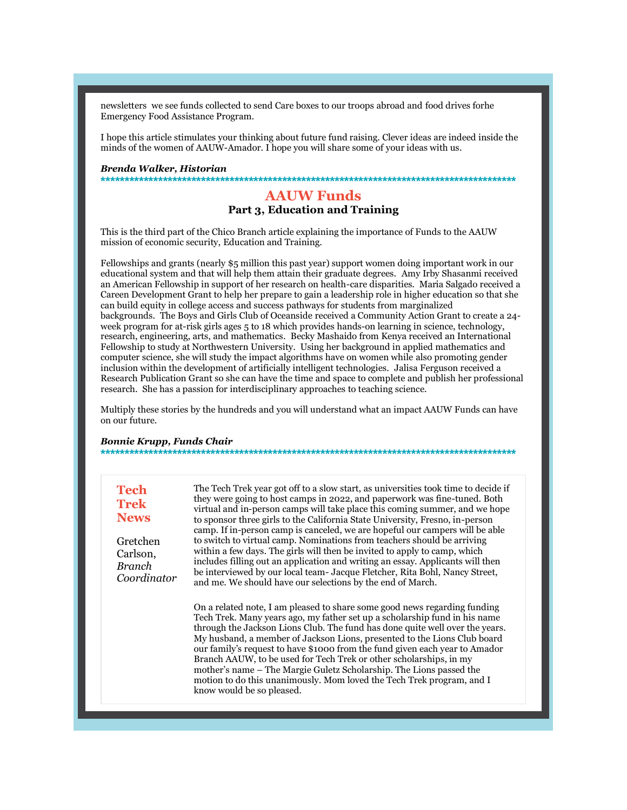newsletters we see funds collected to send Care boxes to our troops abroad and food drives forhe Emergency Food Assistance Program.

I hope this article stimulates your thinking about future fund raising. Clever ideas are indeed inside the minds of the women of AAUW-Amador. I hope you will share some of your ideas with us.

#### Brenda Walker, Historian

## **AAUW Funds**

Part 3, Education and Training

This is the third part of the Chico Branch article explaining the importance of Funds to the AAUW mission of economic security, Education and Training.

Fellowships and grants (nearly \$5 million this past year) support women doing important work in our educational system and that will help them attain their graduate degrees. Amy Irby Shasanmi received an American Fellowship in support of her research on health-care disparities. Maria Salgado received a Careen Development Grant to help her prepare to gain a leadership role in higher education so that she can build equity in college access and success pathways for students from marginalized backgrounds. The Boys and Girls Club of Oceanside received a Community Action Grant to create a 24week program for at-risk girls ages 5 to 18 which provides hands-on learning in science, technology, research, engineering, arts, and mathematics. Becky Mashaido from Kenya received an International Fellowship to study at Northwestern University. Using her background in applied mathematics and computer science, she will study the impact algorithms have on women while also promoting gender inclusion within the development of artificially intelligent technologies. Jalisa Ferguson received a Research Publication Grant so she can have the time and space to complete and publish her professional research. She has a passion for interdisciplinary approaches to teaching science.

Multiply these stories by the hundreds and you will understand what an impact AAUW Funds can have on our future.

#### **Bonnie Krupp, Funds Chair**

| <b>Tech</b><br><b>Trek</b><br><b>News</b>     | The Tech Trek year got off to a slow start, as universities took time to decide if<br>they were going to host camps in 2022, and paperwork was fine-tuned. Both<br>virtual and in-person camps will take place this coming summer, and we hope<br>to sponsor three girls to the California State University, Fresno, in-person<br>camp. If in-person camp is canceled, we are hopeful our campers will be able |
|-----------------------------------------------|----------------------------------------------------------------------------------------------------------------------------------------------------------------------------------------------------------------------------------------------------------------------------------------------------------------------------------------------------------------------------------------------------------------|
| Gretchen<br>Carlson,<br>Branch<br>Coordinator | to switch to virtual camp. Nominations from teachers should be arriving<br>within a few days. The girls will then be invited to apply to camp, which<br>includes filling out an application and writing an essay. Applicants will then<br>be interviewed by our local team- Jacque Fletcher, Rita Bohl, Nancy Street,<br>and me. We should have our selections by the end of March.                            |
|                                               | On a related note, I am pleased to share some good news regarding funding<br>Took Irol: Many yours ago, my father set up a scholarship fund in his name                                                                                                                                                                                                                                                        |

Tech Trek. Many years ago, my father set up a scholarship fund in his name through the Jackson Lions Club. The fund has done quite well over the years. My husband, a member of Jackson Lions, presented to the Lions Club board our family's request to have \$1000 from the fund given each year to Amador Branch AAUW, to be used for Tech Trek or other scholarships, in my mother's name - The Margie Guletz Scholarship. The Lions passed the motion to do this unanimously. Mom loved the Tech Trek program, and I know would be so pleased.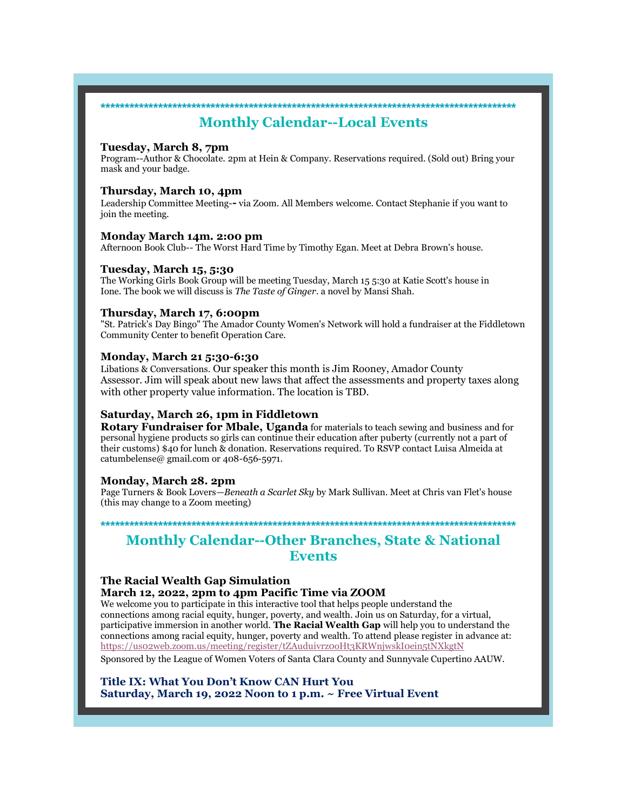## **\*\*\*\*\*\*\*\*\*\*\*\*\*\*\*\*\*\*\*\*\*\*\*\*\*\*\*\*\*\*\*\*\*\*\*\*\*\*\*\*\*\*\*\*\*\*\*\*\*\*\*\*\*\*\*\*\*\*\*\*\*\*\*\*\*\*\*\*\*\*\*\*\*\*\*\*\*\*\*\*\*\*\*\*\*\*\* Monthly Calendar--Local Events**

### **Tuesday, March 8, 7pm**

Program--Author & Chocolate. 2pm at Hein & Company. Reservations required. (Sold out) Bring your mask and your badge.

### **Thursday, March 10, 4pm**

Leadership Committee Meeting-**-** via Zoom. All Members welcome. Contact Stephanie if you want to join the meeting.

### **Monday March 14m. 2:00 pm**

Afternoon Book Club-- The Worst Hard Time by Timothy Egan. Meet at Debra Brown's house.

### **Tuesday, March 15, 5:30**

The Working Girls Book Group will be meeting Tuesday, March 15 5:30 at Katie Scott's house in Ione. The book we will discuss is *The Taste of Ginger*. a novel by Mansi Shah.

### **Thursday, March 17, 6:00pm**

"St. Patrick's Day Bingo" The Amador County Women's Network will hold a fundraiser at the Fiddletown Community Center to benefit Operation Care.

### **Monday, March 21 5:30-6:30**

Libations & Conversations. Our speaker this month is Jim Rooney, Amador County Assessor. Jim will speak about new laws that affect the assessments and property taxes along with other property value information. The location is TBD.

## **Saturday, March 26, 1pm in Fiddletown**

**Rotary Fundraiser for Mbale, Uganda** for materials to teach sewing and business and for personal hygiene products so girls can continue their education after puberty (currently not a part of their customs) \$40 for lunch & donation. Reservations required. To RSVP contact Luisa Almeida at catumbelense@ gmail.com or 408-656-5971.

### **Monday, March 28. 2pm**

Page Turners & Book Lovers—*Beneath a Scarlet Sky* by Mark Sullivan. Meet at Chris van Flet's house (this may change to a Zoom meeting)

**\*\*\*\*\*\*\*\*\*\*\*\*\*\*\*\*\*\*\*\*\*\*\*\*\*\*\*\*\*\*\*\*\*\*\*\*\*\*\*\*\*\*\*\*\*\*\*\*\*\*\*\*\*\*\*\*\*\*\*\*\*\*\*\*\*\*\*\*\*\*\*\*\*\*\*\*\*\*\*\*\*\*\*\*\*\*\***

## **Monthly Calendar--Other Branches, State & National Events**

## **The Racial Wealth Gap Simulation**

**March 12, 2022, 2pm to 4pm Pacific Time via ZOOM**

We welcome you to participate in this interactive tool that helps people understand the connections among racial equity, hunger, poverty, and wealth. Join us on Saturday, for a virtual, participative immersion in another world. **The Racial Wealth Gap** will help you to understand the connections among racial equity, hunger, poverty and wealth. To attend please register in advance at: https://us02web.zoom.us/meeting/register/tZAuduivrz0oHt3KRWnjwskI0ein5tNXkgtN

Sponsored by the League of Women Voters of Santa Clara County and Sunnyvale Cupertino AAUW.

**Title IX: What You Don't Know CAN Hurt You Saturday, March 19, 2022 Noon to 1 p.m. ~ Free Virtual Event**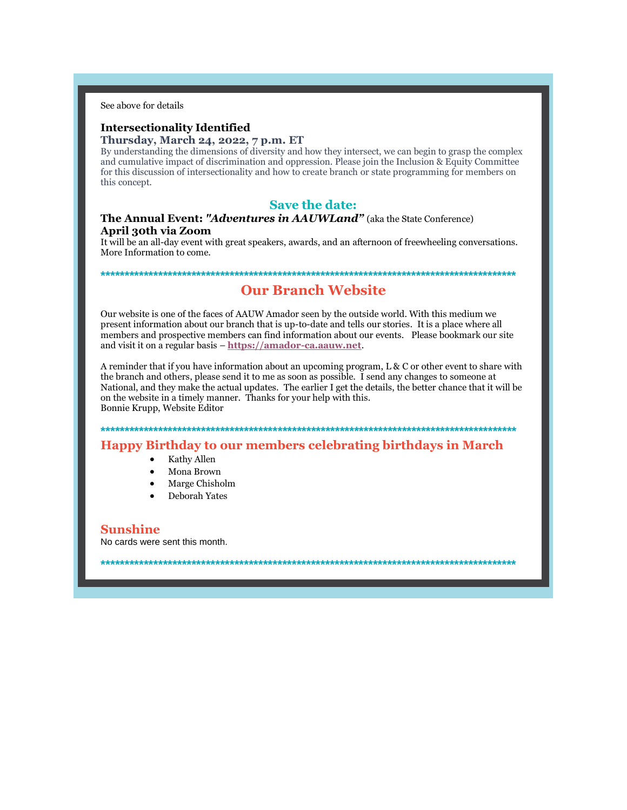See above for details

# **Intersectionality Identified**

## Thursday, March 24, 2022, 7 p.m. ET

By understanding the dimensions of diversity and how they intersect, we can begin to grasp the complex and cumulative impact of discrimination and oppression. Please join the Inclusion & Equity Committee for this discussion of intersectionality and how to create branch or state programming for members on this concept.

## **Save the date:**

## The Annual Event: "Adventures in AAUWLand" (aka the State Conference) April 30th via Zoom

It will be an all-day event with great speakers, awards, and an afternoon of freewheeling conversations. More Information to come.

## **Our Branch Website**

Our website is one of the faces of AAUW Amador seen by the outside world. With this medium we present information about our branch that is up-to-date and tells our stories. It is a place where all members and prospective members can find information about our events. Please bookmark our site and visit it on a regular basis - https://amador-ca.aauw.net.

A reminder that if you have information about an upcoming program, L & C or other event to share with the branch and others, please send it to me as soon as possible. I send any changes to someone at National, and they make the actual updates. The earlier I get the details, the better chance that it will be on the website in a timely manner. Thanks for your help with this. Bonnie Krupp, Website Editor

**Happy Birthday to our members celebrating birthdays in March** 

- Kathy Allen
- Mona Brown
- Marge Chisholm
- Deborah Yates

**Sunshine** No cards were sent this month.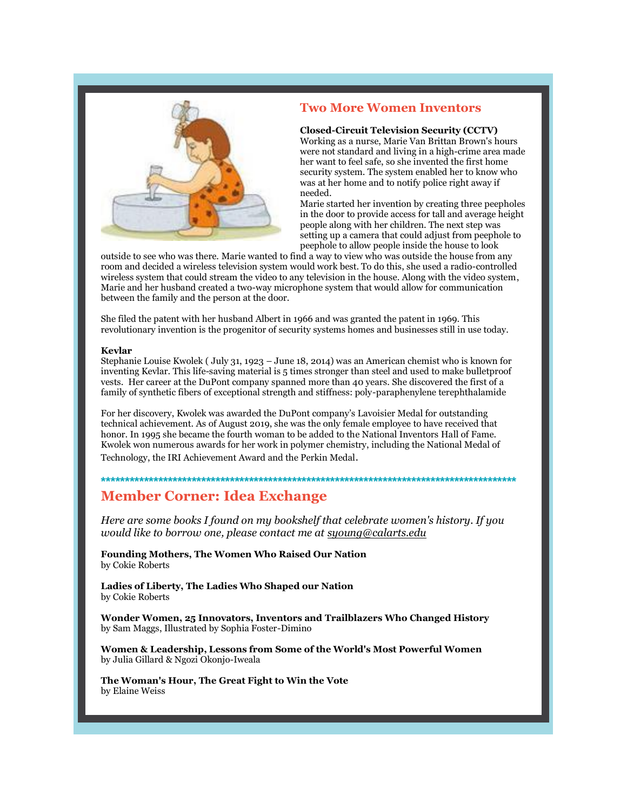

## **Two More Women Inventors**

**Closed-Circuit Television Security (CCTV)** Working as a nurse, Marie Van Brittan Brown's hours were not standard and living in a high-crime area made her want to feel safe, so she invented the first home security system. The system enabled her to know who was at her home and to notify police right away if needed.

Marie started her invention by creating three peepholes in the door to provide access for tall and average height people along with her children. The next step was setting up a camera that could adjust from peephole to peephole to allow people inside the house to look

outside to see who was there. Marie wanted to find a way to view who was outside the house from any room and decided a wireless television system would work best. To do this, she used a radio-controlled wireless system that could stream the video to any television in the house. Along with the video system, Marie and her husband created a two-way microphone system that would allow for communication between the family and the person at the door.

She filed the patent with her husband Albert in 1966 and was granted the patent in 1969. This revolutionary invention is the progenitor of security systems homes and businesses still in use today.

### **Kevlar**

Stephanie Louise Kwolek ( July 31, 1923 – June 18, 2014) was an American chemist who is known for inventing Kevlar. This life-saving material is 5 times stronger than steel and used to make bulletproof vests. Her career at the DuPont company spanned more than 40 years. She discovered the first of a family of synthetic fibers of exceptional strength and stiffness: poly-paraphenylene terephthalamide

For her discovery, Kwolek was awarded the DuPont company's Lavoisier Medal for outstanding technical achievement. As of August 2019, she was the only female employee to have received that honor. In 1995 she became the fourth woman to be added to the National Inventors Hall of Fame. Kwolek won numerous awards for her work in polymer chemistry, including the National Medal of Technology, the IRI Achievement Award and the Perkin Medal.

**\*\*\*\*\*\*\*\*\*\*\*\*\*\*\*\*\*\*\*\*\*\*\*\*\*\*\*\*\*\*\*\*\*\*\*\*\*\*\*\*\*\*\*\*\*\*\*\*\*\*\*\*\*\*\*\*\*\*\*\*\*\*\*\*\*\*\*\*\*\*\*\*\*\*\*\*\*\*\*\*\*\*\*\*\*\*\***

## **Member Corner: Idea Exchange**

*Here are some books I found on my bookshelf that celebrate women's history. If you would like to borrow one, please contact me at syoung@calarts.edu*

**Founding Mothers, The Women Who Raised Our Nation** by Cokie Roberts

**Ladies of Liberty, The Ladies Who Shaped our Nation** by Cokie Roberts

**Wonder Women, 25 Innovators, Inventors and Trailblazers Who Changed History** by Sam Maggs, Illustrated by Sophia Foster-Dimino

**Women & Leadership, Lessons from Some of the World's Most Powerful Women** by Julia Gillard & Ngozi Okonjo-Iweala

**The Woman's Hour, The Great Fight to Win the Vote** by Elaine Weiss